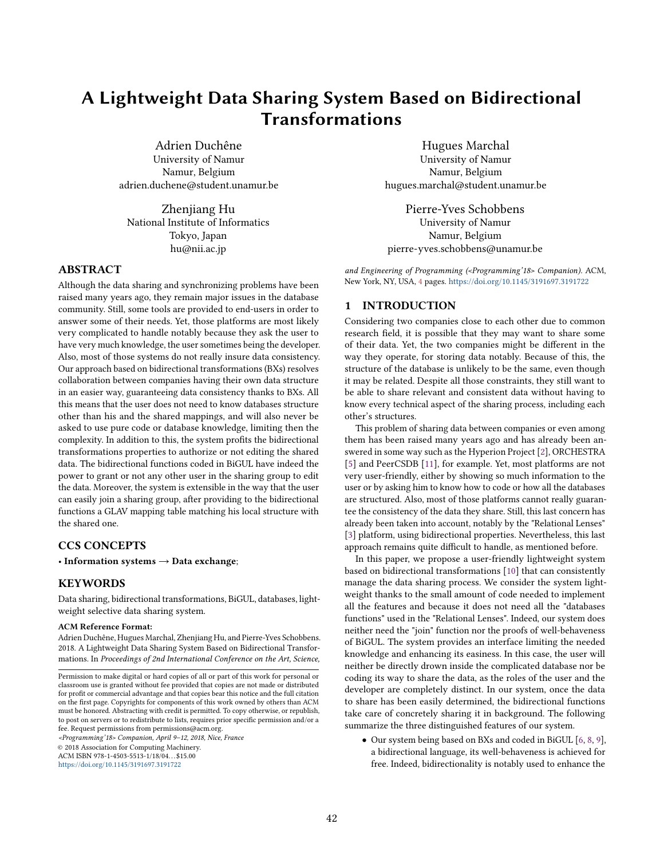# A Lightweight Data Sharing System Based on Bidirectional Transformations

Adrien Duchêne University of Namur Namur, Belgium adrien.duchene@student.unamur.be

Zhenjiang Hu National Institute of Informatics Tokyo, Japan hu@nii.ac.jp

# ABSTRACT

Although the data sharing and synchronizing problems have been raised many years ago, they remain major issues in the database community. Still, some tools are provided to end-users in order to answer some of their needs. Yet, those platforms are most likely very complicated to handle notably because they ask the user to have very much knowledge, the user sometimes being the developer. Also, most of those systems do not really insure data consistency. Our approach based on bidirectional transformations (BXs) resolves collaboration between companies having their own data structure in an easier way, guaranteeing data consistency thanks to BXs. All this means that the user does not need to know databases structure other than his and the shared mappings, and will also never be asked to use pure code or database knowledge, limiting then the complexity. In addition to this, the system profits the bidirectional transformations properties to authorize or not editing the shared data. The bidirectional functions coded in BiGUL have indeed the power to grant or not any other user in the sharing group to edit the data. Moreover, the system is extensible in the way that the user can easily join a sharing group, after providing to the bidirectional functions a GLAV mapping table matching his local structure with the shared one.

# CCS CONCEPTS

• Information systems  $\rightarrow$  Data exchange;

#### **KEYWORDS**

Data sharing, bidirectional transformations, BiGUL, databases, lightweight selective data sharing system.

#### ACM Reference Format:

Adrien Duchêne, Hugues Marchal, Zhenjiang Hu, and Pierre-Yves Schobbens. 2018. A Lightweight Data Sharing System Based on Bidirectional Transformations. In Proceedings of 2nd International Conference on the Art, Science,

<Programming'18> Companion, April 9–12, 2018, Nice, France © 2018 Association for Computing Machinery. ACM ISBN 978-1-4503-5513-1/18/04...\$15.00

<https://doi.org/10.1145/3191697.3191722>

Hugues Marchal

University of Namur Namur, Belgium hugues.marchal@student.unamur.be

Pierre-Yves Schobbens University of Namur Namur, Belgium pierre-yves.schobbens@unamur.be

and Engineering of Programming (<Programming'18> Companion). ACM, New York, NY, USA, [4](#page-3-0) pages. <https://doi.org/10.1145/3191697.3191722>

## 1 INTRODUCTION

Considering two companies close to each other due to common research field, it is possible that they may want to share some of their data. Yet, the two companies might be different in the way they operate, for storing data notably. Because of this, the structure of the database is unlikely to be the same, even though it may be related. Despite all those constraints, they still want to be able to share relevant and consistent data without having to know every technical aspect of the sharing process, including each other's structures.

This problem of sharing data between companies or even among them has been raised many years ago and has already been answered in some way such as the Hyperion Project [\[2\]](#page-3-1), ORCHESTRA [\[5\]](#page-3-2) and PeerCSDB [\[11\]](#page-3-3), for example. Yet, most platforms are not very user-friendly, either by showing so much information to the user or by asking him to know how to code or how all the databases are structured. Also, most of those platforms cannot really guarantee the consistency of the data they share. Still, this last concern has already been taken into account, notably by the "Relational Lenses" [\[3\]](#page-3-4) platform, using bidirectional properties. Nevertheless, this last approach remains quite difficult to handle, as mentioned before.

In this paper, we propose a user-friendly lightweight system based on bidirectional transformations [\[10\]](#page-3-5) that can consistently manage the data sharing process. We consider the system lightweight thanks to the small amount of code needed to implement all the features and because it does not need all the "databases functions" used in the "Relational Lenses". Indeed, our system does neither need the "join" function nor the proofs of well-behaveness of BiGUL. The system provides an interface limiting the needed knowledge and enhancing its easiness. In this case, the user will neither be directly drown inside the complicated database nor be coding its way to share the data, as the roles of the user and the developer are completely distinct. In our system, once the data to share has been easily determined, the bidirectional functions take care of concretely sharing it in background. The following summarize the three distinguished features of our system.

• Our system being based on BXs and coded in BiGUL [\[6,](#page-3-6) [8,](#page-3-7) [9\]](#page-3-8), a bidirectional language, its well-behaveness is achieved for free. Indeed, bidirectionality is notably used to enhance the

Permission to make digital or hard copies of all or part of this work for personal or classroom use is granted without fee provided that copies are not made or distributed for profit or commercial advantage and that copies bear this notice and the full citation on the first page. Copyrights for components of this work owned by others than ACM must be honored. Abstracting with credit is permitted. To copy otherwise, or republish, to post on servers or to redistribute to lists, requires prior specific permission and/or a fee. Request permissions from permissions@acm.org.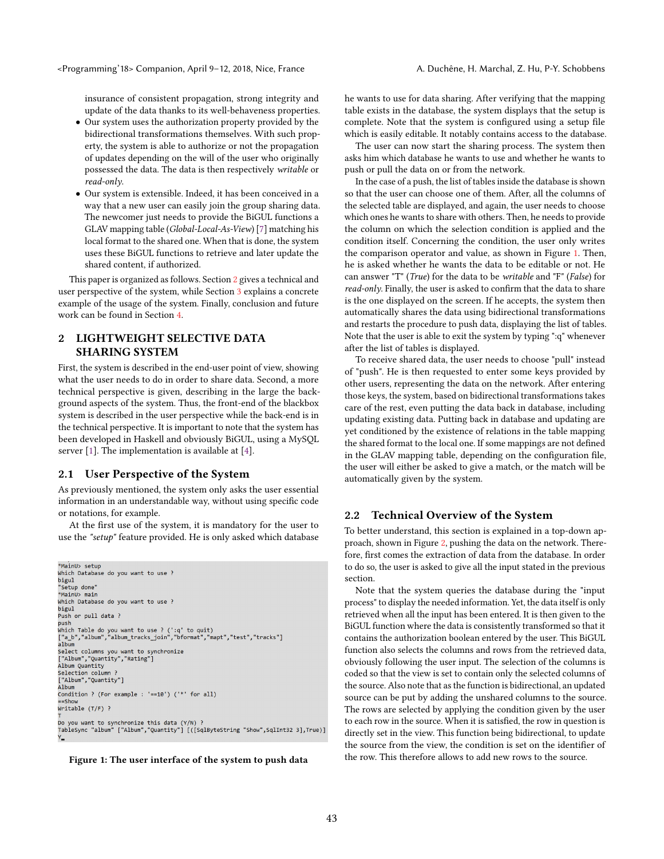insurance of consistent propagation, strong integrity and update of the data thanks to its well-behaveness properties.

- Our system uses the authorization property provided by the bidirectional transformations themselves. With such property, the system is able to authorize or not the propagation of updates depending on the will of the user who originally possessed the data. The data is then respectively writable or read-only.
- Our system is extensible. Indeed, it has been conceived in a way that a new user can easily join the group sharing data. The newcomer just needs to provide the BiGUL functions a GLAV mapping table (Global-Local-As-View) [\[7\]](#page-3-9) matching his local format to the shared one. When that is done, the system uses these BiGUL functions to retrieve and later update the shared content, if authorized.

This paper is organized as follows. Section [2](#page-1-0) gives a technical and user perspective of the system, while Section [3](#page-2-0) explains a concrete example of the usage of the system. Finally, conclusion and future work can be found in Section [4.](#page-3-10)

# <span id="page-1-0"></span>2 LIGHTWEIGHT SELECTIVE DATA SHARING SYSTEM

First, the system is described in the end-user point of view, showing what the user needs to do in order to share data. Second, a more technical perspective is given, describing in the large the background aspects of the system. Thus, the front-end of the blackbox system is described in the user perspective while the back-end is in the technical perspective. It is important to note that the system has been developed in Haskell and obviously BiGUL, using a MySQL server [\[1\]](#page-3-11). The implementation is available at [\[4\]](#page-3-12).

#### 2.1 User Perspective of the System

As previously mentioned, the system only asks the user essential information in an understandable way, without using specific code or notations, for example.

At the first use of the system, it is mandatory for the user to use the "setup" feature provided. He is only asked which database

```
*MainU> setup
Which Database do you want to use ?
bigul
 "Setup done"
*MainU> main
Which Database do you want to use ?
bigul<br>Push or pull data ?
rush<br>push<br>which Table do you want to use ? (':q' to quit)<br>["a_b","album","album_tracks_join","bformat","mapt","test","tracks"]<br>album
---<br>Select columns you want to synchronize<br>["Album","Quantity","Rating"]<br>Album Quantity
Selection column ?
 ["Album","Quantity"]
A<sub>1</sub>bum
Condition ? (For example : '==10') ('*' for all)
Writable (T/F) ?
Do you want to synchronize this data (Y/N) ?<br>TableSync "album" ["Album","Quantity"] [([SqlByteString "Show",SqlInt32 3],True)]
```


he wants to use for data sharing. After verifying that the mapping table exists in the database, the system displays that the setup is complete. Note that the system is configured using a setup file which is easily editable. It notably contains access to the database.

The user can now start the sharing process. The system then asks him which database he wants to use and whether he wants to push or pull the data on or from the network.

In the case of a push, the list of tables inside the database is shown so that the user can choose one of them. After, all the columns of the selected table are displayed, and again, the user needs to choose which ones he wants to share with others. Then, he needs to provide the column on which the selection condition is applied and the condition itself. Concerning the condition, the user only writes the comparison operator and value, as shown in Figure [1.](#page-1-1) Then, he is asked whether he wants the data to be editable or not. He can answer "T" (True) for the data to be writable and "F" (False) for read-only. Finally, the user is asked to confirm that the data to share is the one displayed on the screen. If he accepts, the system then automatically shares the data using bidirectional transformations and restarts the procedure to push data, displaying the list of tables. Note that the user is able to exit the system by typing ":q" whenever after the list of tables is displayed.

To receive shared data, the user needs to choose "pull" instead of "push". He is then requested to enter some keys provided by other users, representing the data on the network. After entering those keys, the system, based on bidirectional transformations takes care of the rest, even putting the data back in database, including updating existing data. Putting back in database and updating are yet conditioned by the existence of relations in the table mapping the shared format to the local one. If some mappings are not defined in the GLAV mapping table, depending on the configuration file, the user will either be asked to give a match, or the match will be automatically given by the system.

#### 2.2 Technical Overview of the System

To better understand, this section is explained in a top-down approach, shown in Figure [2,](#page-2-1) pushing the data on the network. Therefore, first comes the extraction of data from the database. In order to do so, the user is asked to give all the input stated in the previous section.

Note that the system queries the database during the "input process" to display the needed information. Yet, the data itself is only retrieved when all the input has been entered. It is then given to the BiGUL function where the data is consistently transformed so that it contains the authorization boolean entered by the user. This BiGUL function also selects the columns and rows from the retrieved data, obviously following the user input. The selection of the columns is coded so that the view is set to contain only the selected columns of the source. Also note that as the function is bidirectional, an updated source can be put by adding the unshared columns to the source. The rows are selected by applying the condition given by the user to each row in the source. When it is satisfied, the row in question is directly set in the view. This function being bidirectional, to update the source from the view, the condition is set on the identifier of the row. This therefore allows to add new rows to the source.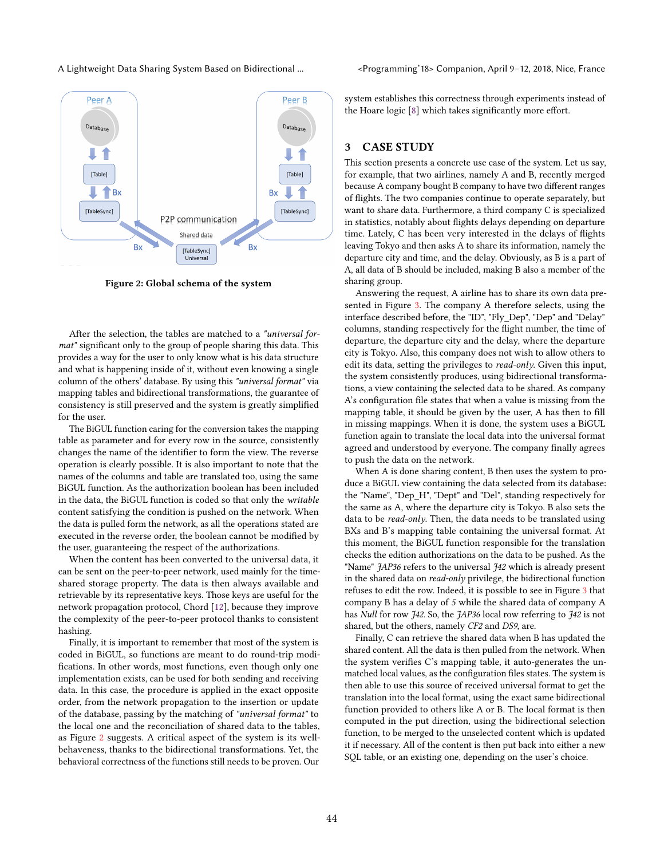#### A Lightweight Data Sharing System Based on Bidirectional ... <Programming'18> Companion, April 9–12, 2018, Nice, France

<span id="page-2-1"></span>

Figure 2: Global schema of the system

After the selection, the tables are matched to a "universal format" significant only to the group of people sharing this data. This provides a way for the user to only know what is his data structure and what is happening inside of it, without even knowing a single column of the others' database. By using this "universal format" via mapping tables and bidirectional transformations, the guarantee of consistency is still preserved and the system is greatly simplified for the user.

The BiGUL function caring for the conversion takes the mapping table as parameter and for every row in the source, consistently changes the name of the identifier to form the view. The reverse operation is clearly possible. It is also important to note that the names of the columns and table are translated too, using the same BiGUL function. As the authorization boolean has been included in the data, the BiGUL function is coded so that only the writable content satisfying the condition is pushed on the network. When the data is pulled form the network, as all the operations stated are executed in the reverse order, the boolean cannot be modified by the user, guaranteeing the respect of the authorizations.

When the content has been converted to the universal data, it can be sent on the peer-to-peer network, used mainly for the timeshared storage property. The data is then always available and retrievable by its representative keys. Those keys are useful for the network propagation protocol, Chord [\[12\]](#page-3-13), because they improve the complexity of the peer-to-peer protocol thanks to consistent hashing.

Finally, it is important to remember that most of the system is coded in BiGUL, so functions are meant to do round-trip modifications. In other words, most functions, even though only one implementation exists, can be used for both sending and receiving data. In this case, the procedure is applied in the exact opposite order, from the network propagation to the insertion or update of the database, passing by the matching of "universal format" to the local one and the reconciliation of shared data to the tables, as Figure [2](#page-2-1) suggests. A critical aspect of the system is its wellbehaveness, thanks to the bidirectional transformations. Yet, the behavioral correctness of the functions still needs to be proven. Our

system establishes this correctness through experiments instead of the Hoare logic [\[8\]](#page-3-7) which takes significantly more effort.

# <span id="page-2-0"></span>3 CASE STUDY

This section presents a concrete use case of the system. Let us say, for example, that two airlines, namely A and B, recently merged because A company bought B company to have two different ranges of flights. The two companies continue to operate separately, but want to share data. Furthermore, a third company C is specialized in statistics, notably about flights delays depending on departure time. Lately, C has been very interested in the delays of flights leaving Tokyo and then asks A to share its information, namely the departure city and time, and the delay. Obviously, as B is a part of A, all data of B should be included, making B also a member of the sharing group.

Answering the request, A airline has to share its own data presented in Figure [3.](#page-3-14) The company A therefore selects, using the interface described before, the "ID", "Fly\_Dep", "Dep" and "Delay" columns, standing respectively for the flight number, the time of departure, the departure city and the delay, where the departure city is Tokyo. Also, this company does not wish to allow others to edit its data, setting the privileges to read-only. Given this input, the system consistently produces, using bidirectional transformations, a view containing the selected data to be shared. As company A's configuration file states that when a value is missing from the mapping table, it should be given by the user, A has then to fill in missing mappings. When it is done, the system uses a BiGUL function again to translate the local data into the universal format agreed and understood by everyone. The company finally agrees to push the data on the network.

When A is done sharing content, B then uses the system to produce a BiGUL view containing the data selected from its database: the "Name", "Dep H", "Dept" and "Del", standing respectively for the same as A, where the departure city is Tokyo. B also sets the data to be read-only. Then, the data needs to be translated using BXs and B's mapping table containing the universal format. At this moment, the BiGUL function responsible for the translation checks the edition authorizations on the data to be pushed. As the "Name" JAP36 refers to the universal J42 which is already present in the shared data on read-only privilege, the bidirectional function refuses to edit the row. Indeed, it is possible to see in Figure [3](#page-3-14) that company B has a delay of 5 while the shared data of company A has Null for row J42. So, the JAP36 local row referring to J42 is not shared, but the others, namely CF2 and DS9, are.

Finally, C can retrieve the shared data when B has updated the shared content. All the data is then pulled from the network. When the system verifies C's mapping table, it auto-generates the unmatched local values, as the configuration files states. The system is then able to use this source of received universal format to get the translation into the local format, using the exact same bidirectional function provided to others like A or B. The local format is then computed in the put direction, using the bidirectional selection function, to be merged to the unselected content which is updated it if necessary. All of the content is then put back into either a new SQL table, or an existing one, depending on the user's choice.